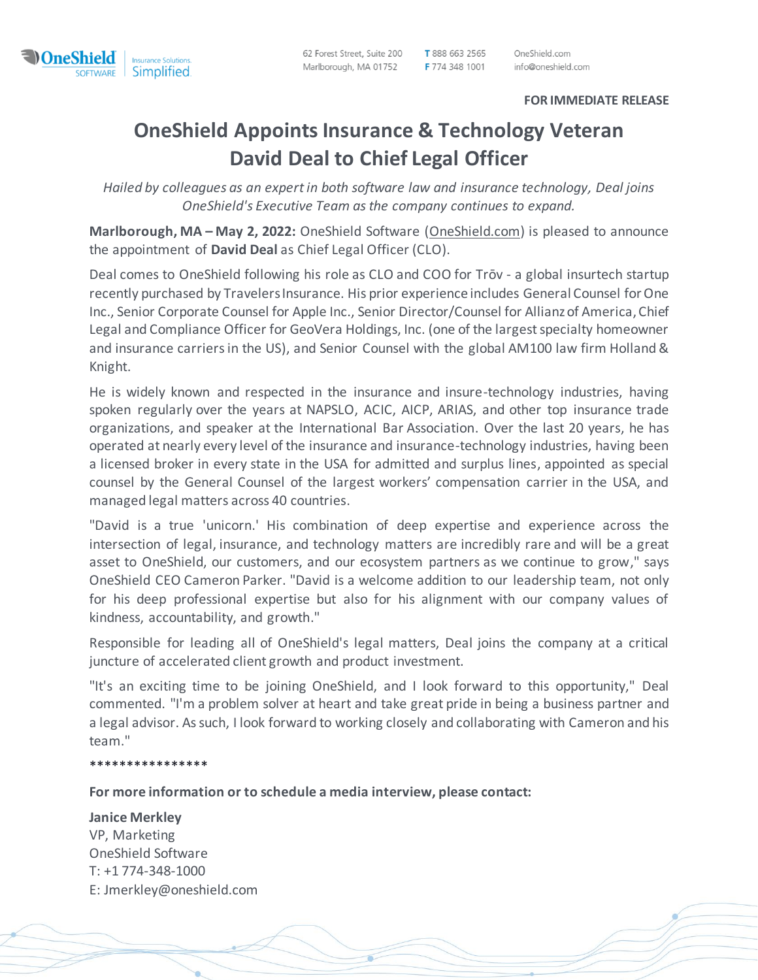

62 Forest Street, Suite 200 Marlborough, MA 01752 T 888 663 2565 F 774 348 1001

OneShield.com info@oneshield.com

## **FOR IMMEDIATE RELEASE**

## **OneShield Appoints Insurance & Technology Veteran David Deal to Chief Legal Officer**

*Hailed by colleagues as an expert in both software law and insurance technology, Deal joins OneShield's Executive Team as the company continues to expand.*

**Marlborough, MA – May 2, 2022:** OneShield Software (OneShield.com) is pleased to announce the appointment of **David Deal** as Chief Legal Officer (CLO).

Deal comes to OneShield following his role as CLO and COO for Trōv - a global insurtech startup recently purchased by Travelers Insurance. His prior experience includes General Counsel for One Inc., Senior Corporate Counsel for Apple Inc., Senior Director/Counsel for Allianz of America, Chief Legal and Compliance Officer for GeoVera Holdings, Inc. (one of the largest specialty homeowner and insurance carriers in the US), and Senior Counsel with the global AM100 law firm Holland & Knight.

He is widely known and respected in the insurance and insure-technology industries, having spoken regularly over the years at NAPSLO, ACIC, AICP, ARIAS, and other top insurance trade organizations, and speaker at the International Bar Association. Over the last 20 years, he has operated at nearly every level of the insurance and insurance-technology industries, having been a licensed broker in every state in the USA for admitted and surplus lines, appointed as special counsel by the General Counsel of the largest workers' compensation carrier in the USA, and managed legal matters across 40 countries.

"David is a true 'unicorn.' His combination of deep expertise and experience across the intersection of legal, insurance, and technology matters are incredibly rare and will be a great asset to OneShield, our customers, and our ecosystem partners as we continue to grow," says OneShield CEO Cameron Parker. "David is a welcome addition to our leadership team, not only for his deep professional expertise but also for his alignment with our company values of kindness, accountability, and growth."

Responsible for leading all of OneShield's legal matters, Deal joins the company at a critical juncture of accelerated client growth and product investment.

"It's an exciting time to be joining OneShield, and I look forward to this opportunity," Deal commented. "I'm a problem solver at heart and take great pride in being a business partner and a legal advisor. As such, I look forward to working closely and collaborating with Cameron and his team."

\*\*\*\*\*\*\*\*\*\*\*\*\*\*\*\*

**For more information or to schedule a media interview, please contact:**

## **Janice Merkley**

VP, Marketing OneShield Software T: +1 774-348-1000 E: Jmerkley@oneshield.com